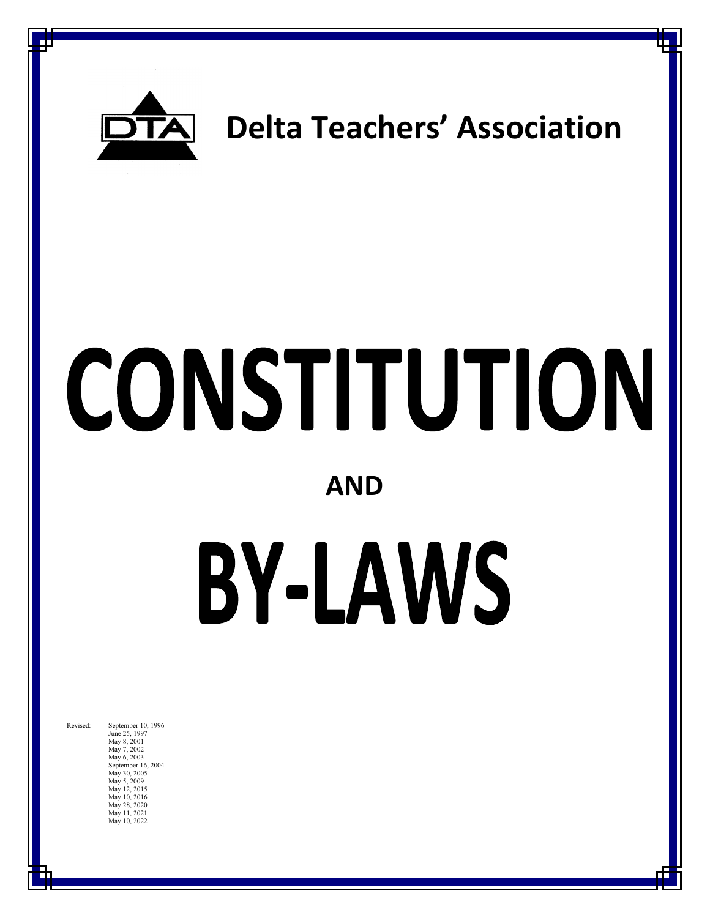

## **Delta Teachers' Association**

# CONSTITUTION

## **AND**

## BY-LAWS

June 25, 1997 May 8, 2001 May 7, 2002 May 6, 2003 September 16, 2004 May 30, 2005 May 5, 2009 May 12, 2015 May 10, 2016 May 28, 2020 May 11, 2021 May 10, 2022

Revised: September 10, 1996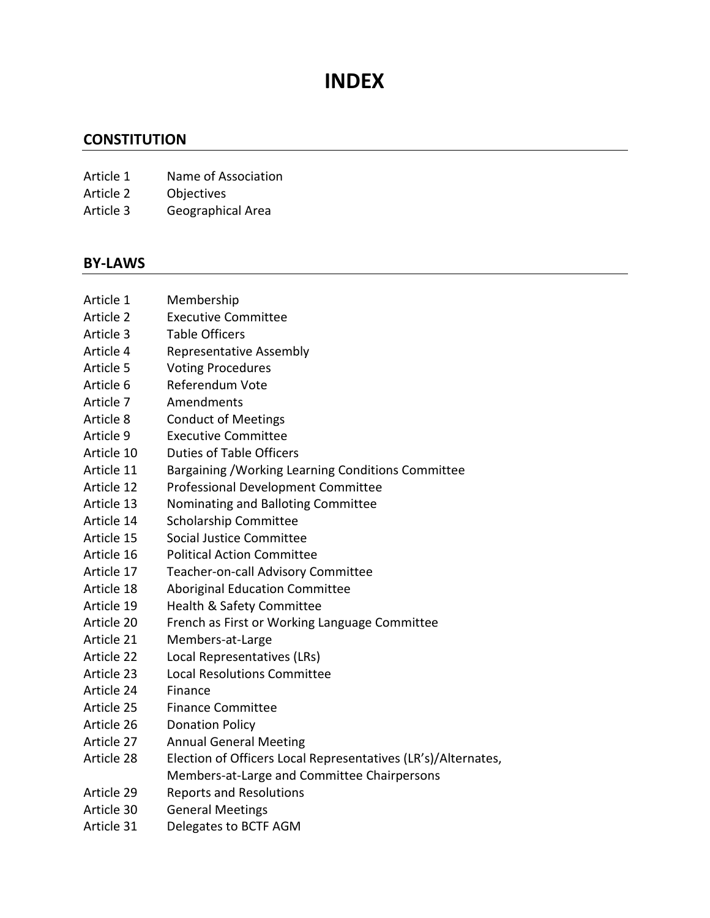## **INDEX**

#### **CONSTITUTION**

- Article 1 Name of Association
- Article 2 Objectives
- Article 3 Geographical Area

#### **BY-LAWS**

- Article 1 Membership
- Article 2 Executive Committee
- Article 3 Table Officers
- Article 4 Representative Assembly
- Article 5 Voting Procedures
- Article 6 Referendum Vote
- Article 7 Amendments
- Article 8 Conduct of Meetings
- Article 9 Executive Committee
- Article 10 Duties of Table Officers
- Article 11 Bargaining /Working Learning Conditions Committee
- Article 12 Professional Development Committee
- Article 13 Nominating and Balloting Committee
- Article 14 Scholarship Committee
- Article 15 Social Justice Committee
- Article 16 Political Action Committee
- Article 17 Teacher-on-call Advisory Committee
- Article 18 Aboriginal Education Committee
- Article 19 Health & Safety Committee
- Article 20 French as First or Working Language Committee
- Article 21 Members-at-Large
- Article 22 Local Representatives (LRs)
- Article 23 Local Resolutions Committee
- Article 24 Finance
- Article 25 Finance Committee
- Article 26 Donation Policy
- Article 27 Annual General Meeting
- Article 28 Election of Officers Local Representatives (LR's)/Alternates, Members-at-Large and Committee Chairpersons
- Article 29 Reports and Resolutions
- Article 30 General Meetings
- Article 31 Delegates to BCTF AGM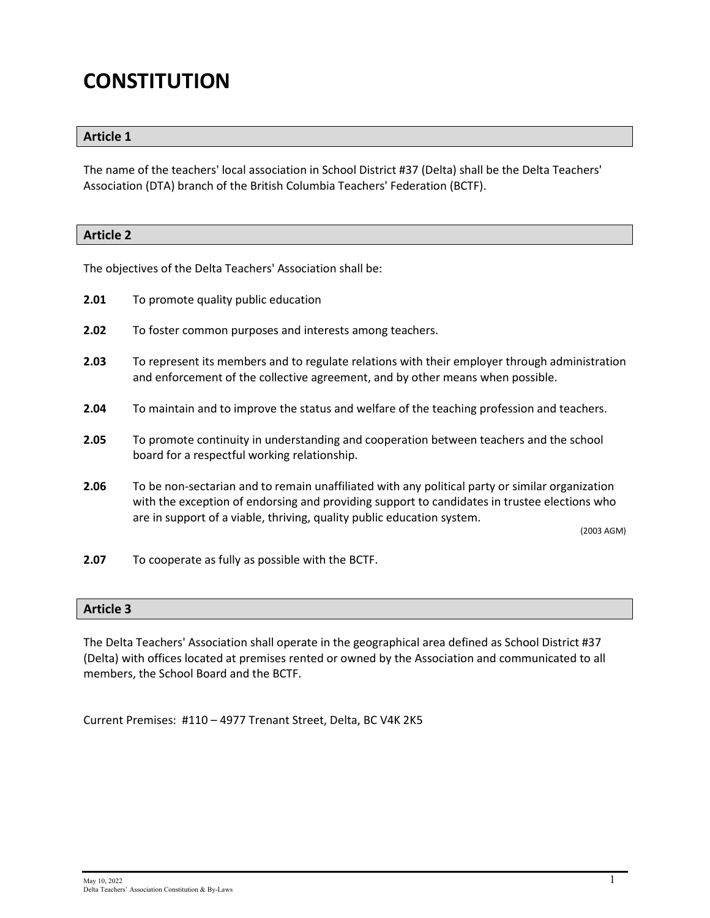## **CONSTITUTION**

#### **Article 1**

The name of the teachers' local association in School District #37 (Delta) shall be the Delta Teachers' Association (DTA) branch of the British Columbia Teachers' Federation (BCTF).

## **Article 2**

The objectives of the Delta Teachers' Association shall be:

- **2.01** To promote quality public education
- **2.02** To foster common purposes and interests among teachers.
- **2.03** To represent its members and to regulate relations with their employer through administration and enforcement of the collective agreement, and by other means when possible.
- **2.04** To maintain and to improve the status and welfare of the teaching profession and teachers.
- **2.05** To promote continuity in understanding and cooperation between teachers and the school board for a respectful working relationship.
- **2.06** To be non-sectarian and to remain unaffiliated with any political party or similar organization with the exception of endorsing and providing support to candidates in trustee elections who are in support of a viable, thriving, quality public education system.

(2003 AGM)

**2.07** To cooperate as fully as possible with the BCTF.

#### **Article 3**

The Delta Teachers' Association shall operate in the geographical area defined as School District #37 (Delta) with offices located at premises rented or owned by the Association and communicated to all members, the School Board and the BCTF.

Current Premises: #110 – 4977 Trenant Street, Delta, BC V4K 2K5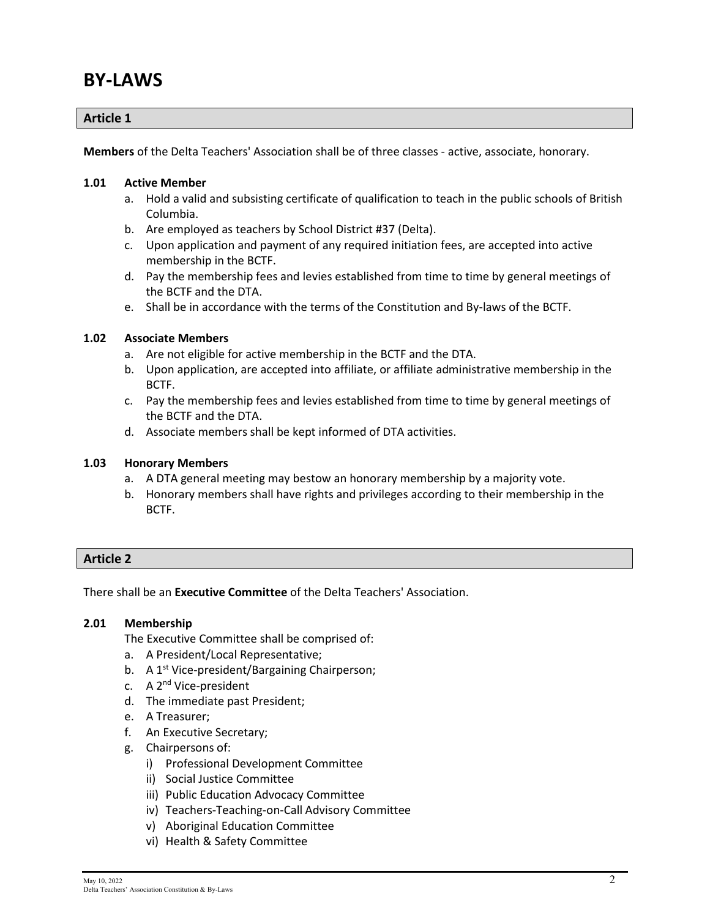### **BY-LAWS**

#### **Article 1**

**Members** of the Delta Teachers' Association shall be of three classes - active, associate, honorary.

#### **1.01 Active Member**

- a. Hold a valid and subsisting certificate of qualification to teach in the public schools of British Columbia.
- b. Are employed as teachers by School District #37 (Delta).
- c. Upon application and payment of any required initiation fees, are accepted into active membership in the BCTF.
- d. Pay the membership fees and levies established from time to time by general meetings of the BCTF and the DTA.
- e. Shall be in accordance with the terms of the Constitution and By-laws of the BCTF.

#### **1.02 Associate Members**

- a. Are not eligible for active membership in the BCTF and the DTA.
- b. Upon application, are accepted into affiliate, or affiliate administrative membership in the BCTF.
- c. Pay the membership fees and levies established from time to time by general meetings of the BCTF and the DTA.
- d. Associate members shall be kept informed of DTA activities.

#### **1.03 Honorary Members**

- a. A DTA general meeting may bestow an honorary membership by a majority vote.
- b. Honorary members shall have rights and privileges according to their membership in the BCTF.

#### **Article 2**

There shall be an **Executive Committee** of the Delta Teachers' Association.

#### **2.01 Membership**

The Executive Committee shall be comprised of:

- a. A President/Local Representative;
- b. A 1<sup>st</sup> Vice-president/Bargaining Chairperson;
- c. A 2<sup>nd</sup> Vice-president
- d. The immediate past President;
- e. A Treasurer;
- f. An Executive Secretary;
- g. Chairpersons of:
	- i) Professional Development Committee
	- ii) Social Justice Committee
	- iii) Public Education Advocacy Committee
	- iv) Teachers-Teaching-on-Call Advisory Committee
	- v) Aboriginal Education Committee
	- vi) Health & Safety Committee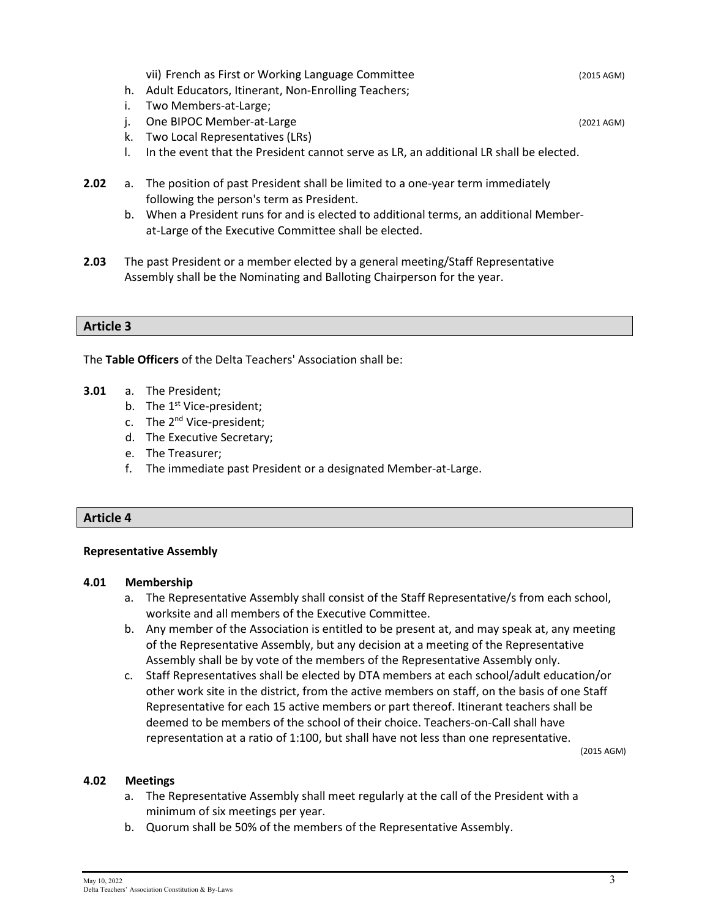vii) French as First or Working Language Committee (2015 AGM) (2015 AGM)

- h. Adult Educators, Itinerant, Non-Enrolling Teachers;
- i. Two Members-at-Large;
- j. One BIPOC Member-at-Large (2021 AGM) (2021 AGM)
- k. Two Local Representatives (LRs)
- l. In the event that the President cannot serve as LR, an additional LR shall be elected.
- **2.02** a. The position of past President shall be limited to a one-year term immediately following the person's term as President.
	- b. When a President runs for and is elected to additional terms, an additional Memberat-Large of the Executive Committee shall be elected.
- **2.03** The past President or a member elected by a general meeting/Staff Representative Assembly shall be the Nominating and Balloting Chairperson for the year.

#### **Article 3**

The **Table Officers** of the Delta Teachers' Association shall be:

- **3.01** a. The President;
	- b. The 1<sup>st</sup> Vice-president:
	- c. The 2<sup>nd</sup> Vice-president;
	- d. The Executive Secretary;
	- e. The Treasurer;
	- f. The immediate past President or a designated Member-at-Large.

#### **Article 4**

#### **Representative Assembly**

#### **4.01 Membership**

- a. The Representative Assembly shall consist of the Staff Representative/s from each school, worksite and all members of the Executive Committee.
- b. Any member of the Association is entitled to be present at, and may speak at, any meeting of the Representative Assembly, but any decision at a meeting of the Representative Assembly shall be by vote of the members of the Representative Assembly only.
- c. Staff Representatives shall be elected by DTA members at each school/adult education/or other work site in the district, from the active members on staff, on the basis of one Staff Representative for each 15 active members or part thereof. Itinerant teachers shall be deemed to be members of the school of their choice. Teachers-on-Call shall have representation at a ratio of 1:100, but shall have not less than one representative.

(2015 AGM)

#### **4.02 Meetings**

- a. The Representative Assembly shall meet regularly at the call of the President with a minimum of six meetings per year.
- b. Quorum shall be 50% of the members of the Representative Assembly.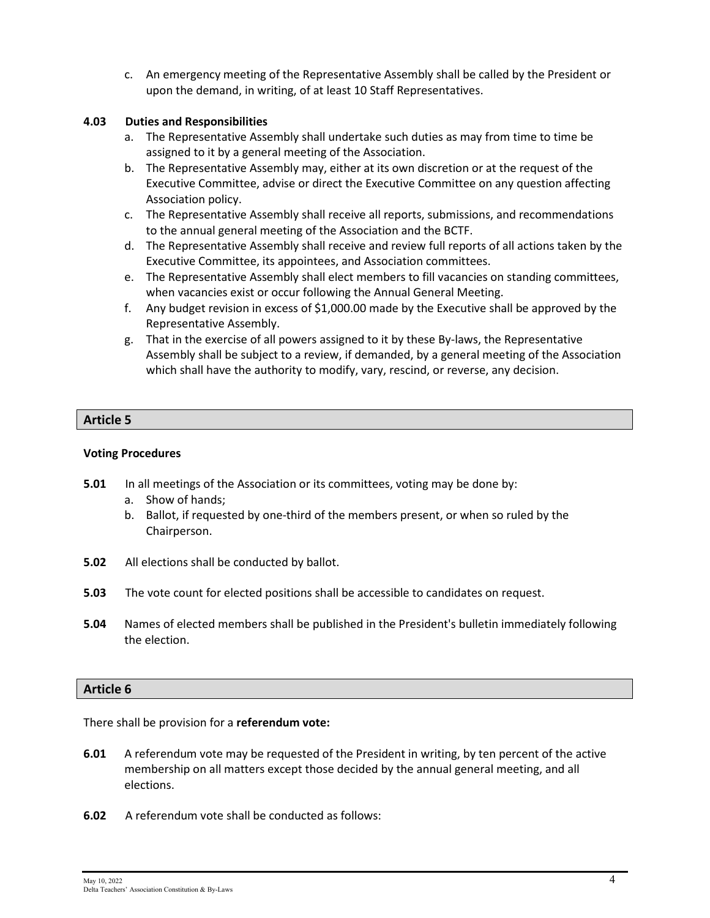c. An emergency meeting of the Representative Assembly shall be called by the President or upon the demand, in writing, of at least 10 Staff Representatives.

#### **4.03 Duties and Responsibilities**

- a. The Representative Assembly shall undertake such duties as may from time to time be assigned to it by a general meeting of the Association.
- b. The Representative Assembly may, either at its own discretion or at the request of the Executive Committee, advise or direct the Executive Committee on any question affecting Association policy.
- c. The Representative Assembly shall receive all reports, submissions, and recommendations to the annual general meeting of the Association and the BCTF.
- d. The Representative Assembly shall receive and review full reports of all actions taken by the Executive Committee, its appointees, and Association committees.
- e. The Representative Assembly shall elect members to fill vacancies on standing committees, when vacancies exist or occur following the Annual General Meeting.
- f. Any budget revision in excess of \$1,000.00 made by the Executive shall be approved by the Representative Assembly.
- g. That in the exercise of all powers assigned to it by these By-laws, the Representative Assembly shall be subject to a review, if demanded, by a general meeting of the Association which shall have the authority to modify, vary, rescind, or reverse, any decision.

#### **Article 5**

#### **Voting Procedures**

- **5.01** In all meetings of the Association or its committees, voting may be done by:
	- a. Show of hands;
	- b. Ballot, if requested by one-third of the members present, or when so ruled by the Chairperson.
- **5.02** All elections shall be conducted by ballot.
- **5.03** The vote count for elected positions shall be accessible to candidates on request.
- **5.04** Names of elected members shall be published in the President's bulletin immediately following the election.

#### **Article 6**

There shall be provision for a **referendum vote:**

- **6.01** A referendum vote may be requested of the President in writing, by ten percent of the active membership on all matters except those decided by the annual general meeting, and all elections.
- **6.02** A referendum vote shall be conducted as follows: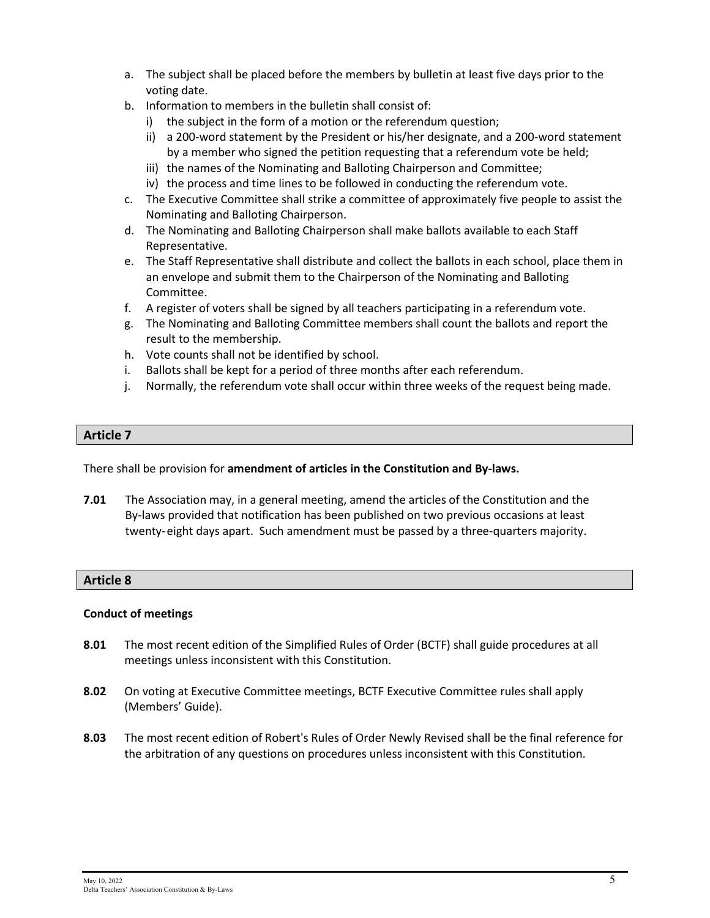- a. The subject shall be placed before the members by bulletin at least five days prior to the voting date.
- b. Information to members in the bulletin shall consist of:
	- i) the subject in the form of a motion or the referendum question;
	- ii) a 200-word statement by the President or his/her designate, and a 200-word statement by a member who signed the petition requesting that a referendum vote be held;
	- iii) the names of the Nominating and Balloting Chairperson and Committee;
	- iv) the process and time lines to be followed in conducting the referendum vote.
- c. The Executive Committee shall strike a committee of approximately five people to assist the Nominating and Balloting Chairperson.
- d. The Nominating and Balloting Chairperson shall make ballots available to each Staff Representative.
- e. The Staff Representative shall distribute and collect the ballots in each school, place them in an envelope and submit them to the Chairperson of the Nominating and Balloting Committee.
- f. A register of voters shall be signed by all teachers participating in a referendum vote.
- g. The Nominating and Balloting Committee members shall count the ballots and report the result to the membership.
- h. Vote counts shall not be identified by school.
- i. Ballots shall be kept for a period of three months after each referendum.
- j. Normally, the referendum vote shall occur within three weeks of the request being made.

There shall be provision for **amendment of articles in the Constitution and By-laws.**

**7.01** The Association may, in a general meeting, amend the articles of the Constitution and the By-laws provided that notification has been published on two previous occasions at least twenty-eight days apart. Such amendment must be passed by a three-quarters majority.

#### **Article 8**

#### **Conduct of meetings**

- **8.01** The most recent edition of the Simplified Rules of Order (BCTF) shall guide procedures at all meetings unless inconsistent with this Constitution.
- **8.02** On voting at Executive Committee meetings, BCTF Executive Committee rules shall apply (Members' Guide).
- **8.03** The most recent edition of Robert's Rules of Order Newly Revised shall be the final reference for the arbitration of any questions on procedures unless inconsistent with this Constitution.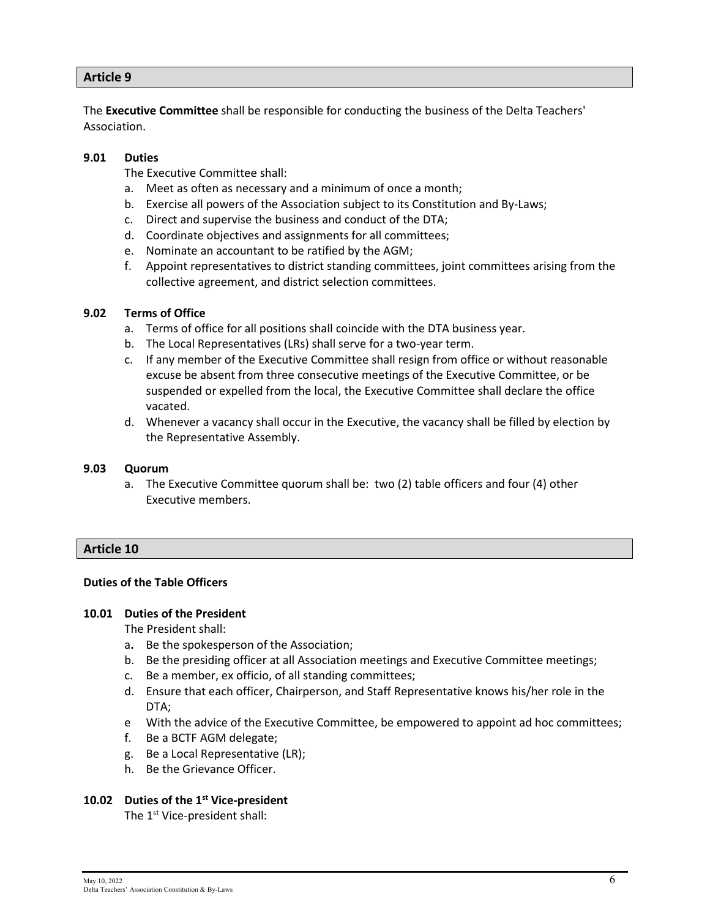The **Executive Committee** shall be responsible for conducting the business of the Delta Teachers' Association.

#### **9.01 Duties**

The Executive Committee shall:

- a. Meet as often as necessary and a minimum of once a month;
- b. Exercise all powers of the Association subject to its Constitution and By-Laws;
- c. Direct and supervise the business and conduct of the DTA;
- d. Coordinate objectives and assignments for all committees;
- e. Nominate an accountant to be ratified by the AGM;
- f. Appoint representatives to district standing committees, joint committees arising from the collective agreement, and district selection committees.

#### **9.02 Terms of Office**

- a. Terms of office for all positions shall coincide with the DTA business year.
- b. The Local Representatives (LRs) shall serve for a two-year term.
- c. If any member of the Executive Committee shall resign from office or without reasonable excuse be absent from three consecutive meetings of the Executive Committee, or be suspended or expelled from the local, the Executive Committee shall declare the office vacated.
- d. Whenever a vacancy shall occur in the Executive, the vacancy shall be filled by election by the Representative Assembly.

#### **9.03 Quorum**

a. The Executive Committee quorum shall be: two (2) table officers and four (4) other Executive members.

#### **Article 10**

#### **Duties of the Table Officers**

#### **10.01 Duties of the President**

The President shall:

- a**.** Be the spokesperson of the Association;
- b. Be the presiding officer at all Association meetings and Executive Committee meetings;
- c. Be a member, ex officio, of all standing committees;
- d. Ensure that each officer, Chairperson, and Staff Representative knows his/her role in the DTA;
- e With the advice of the Executive Committee, be empowered to appoint ad hoc committees;
- f. Be a BCTF AGM delegate;
- g. Be a Local Representative (LR);
- h. Be the Grievance Officer.

#### **10.02 Duties of the 1st Vice-president**

The 1<sup>st</sup> Vice-president shall: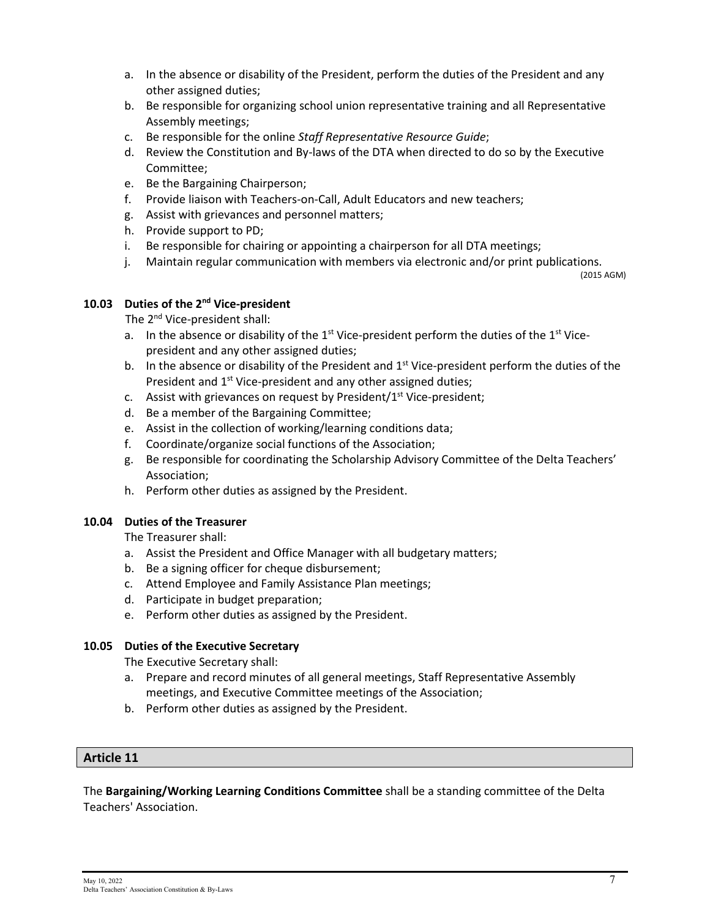- a. In the absence or disability of the President, perform the duties of the President and any other assigned duties;
- b. Be responsible for organizing school union representative training and all Representative Assembly meetings;
- c. Be responsible for the online *Staff Representative Resource Guide*;
- d. Review the Constitution and By-laws of the DTA when directed to do so by the Executive Committee;
- e. Be the Bargaining Chairperson;
- f. Provide liaison with Teachers-on-Call, Adult Educators and new teachers;
- g. Assist with grievances and personnel matters;
- h. Provide support to PD;
- i. Be responsible for chairing or appointing a chairperson for all DTA meetings;
- j. Maintain regular communication with members via electronic and/or print publications.

(2015 AGM)

#### **10.03 Duties of the 2nd Vice-president**

The 2nd Vice-president shall:

- a. In the absence or disability of the  $1<sup>st</sup>$  Vice-president perform the duties of the  $1<sup>st</sup>$  Vicepresident and any other assigned duties;
- b. In the absence or disability of the President and 1<sup>st</sup> Vice-president perform the duties of the President and 1<sup>st</sup> Vice-president and any other assigned duties;
- c. Assist with grievances on request by President/ $1<sup>st</sup>$  Vice-president;
- d. Be a member of the Bargaining Committee;
- e. Assist in the collection of working/learning conditions data;
- f. Coordinate/organize social functions of the Association;
- g. Be responsible for coordinating the Scholarship Advisory Committee of the Delta Teachers' Association;
- h. Perform other duties as assigned by the President.

#### **10.04 Duties of the Treasurer**

The Treasurer shall:

- a. Assist the President and Office Manager with all budgetary matters;
- b. Be a signing officer for cheque disbursement;
- c. Attend Employee and Family Assistance Plan meetings;
- d. Participate in budget preparation;
- e. Perform other duties as assigned by the President.

#### **10.05 Duties of the Executive Secretary**

The Executive Secretary shall:

- a. Prepare and record minutes of all general meetings, Staff Representative Assembly meetings, and Executive Committee meetings of the Association;
- b. Perform other duties as assigned by the President.

#### **Article 11**

The **Bargaining/Working Learning Conditions Committee** shall be a standing committee of the Delta Teachers' Association.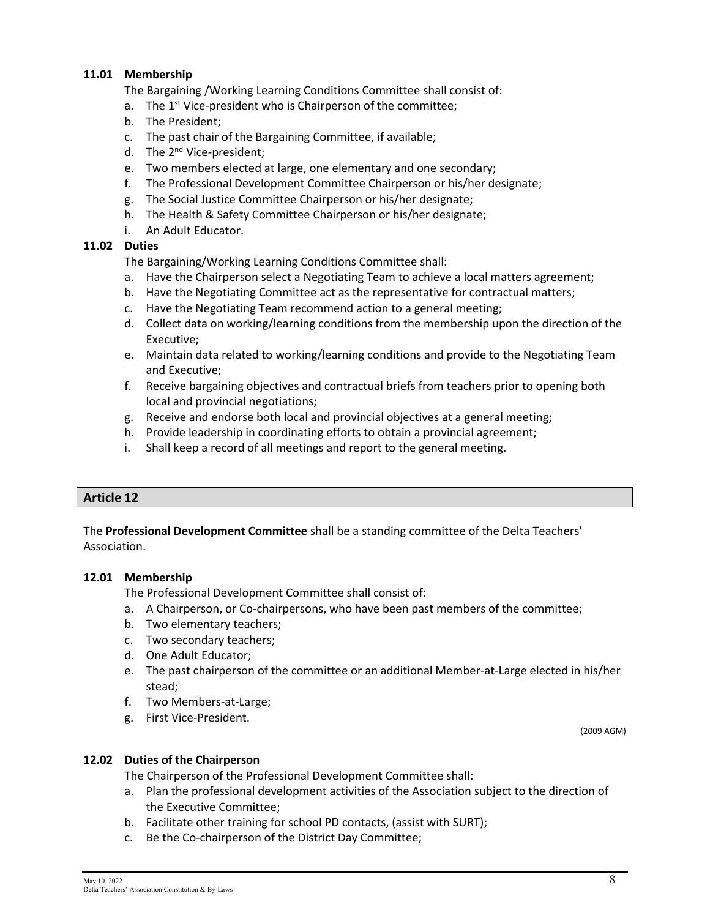#### **11.01 Membership**

The Bargaining /Working Learning Conditions Committee shall consist of:

- a. The 1<sup>st</sup> Vice-president who is Chairperson of the committee;
- b. The President;
- c. The past chair of the Bargaining Committee, if available;
- d. The 2<sup>nd</sup> Vice-president;
- e. Two members elected at large, one elementary and one secondary;
- f. The Professional Development Committee Chairperson or his/her designate;
- g. The Social Justice Committee Chairperson or his/her designate;
- h. The Health & Safety Committee Chairperson or his/her designate;
- i. An Adult Educator.

#### **11.02 Duties**

The Bargaining/Working Learning Conditions Committee shall:

- a. Have the Chairperson select a Negotiating Team to achieve a local matters agreement;
- b. Have the Negotiating Committee act as the representative for contractual matters;
- c. Have the Negotiating Team recommend action to a general meeting;
- d. Collect data on working/learning conditions from the membership upon the direction of the Executive;
- e. Maintain data related to working/learning conditions and provide to the Negotiating Team and Executive;
- f. Receive bargaining objectives and contractual briefs from teachers prior to opening both local and provincial negotiations;
- g. Receive and endorse both local and provincial objectives at a general meeting;
- h. Provide leadership in coordinating efforts to obtain a provincial agreement;
- i. Shall keep a record of all meetings and report to the general meeting.

#### **Article 12**

The **Professional Development Committee** shall be a standing committee of the Delta Teachers' Association.

#### **12.01 Membership**

The Professional Development Committee shall consist of:

- a. A Chairperson, or Co-chairpersons, who have been past members of the committee;
- b. Two elementary teachers;
- c. Two secondary teachers;
- d. One Adult Educator;
- e. The past chairperson of the committee or an additional Member-at-Large elected in his/her stead;
- f. Two Members-at-Large;
- g. First Vice-President.

(2009 AGM)

#### **12.02 Duties of the Chairperson**

The Chairperson of the Professional Development Committee shall:

- a. Plan the professional development activities of the Association subject to the direction of the Executive Committee;
- b. Facilitate other training for school PD contacts, (assist with SURT);
- c. Be the Co-chairperson of the District Day Committee;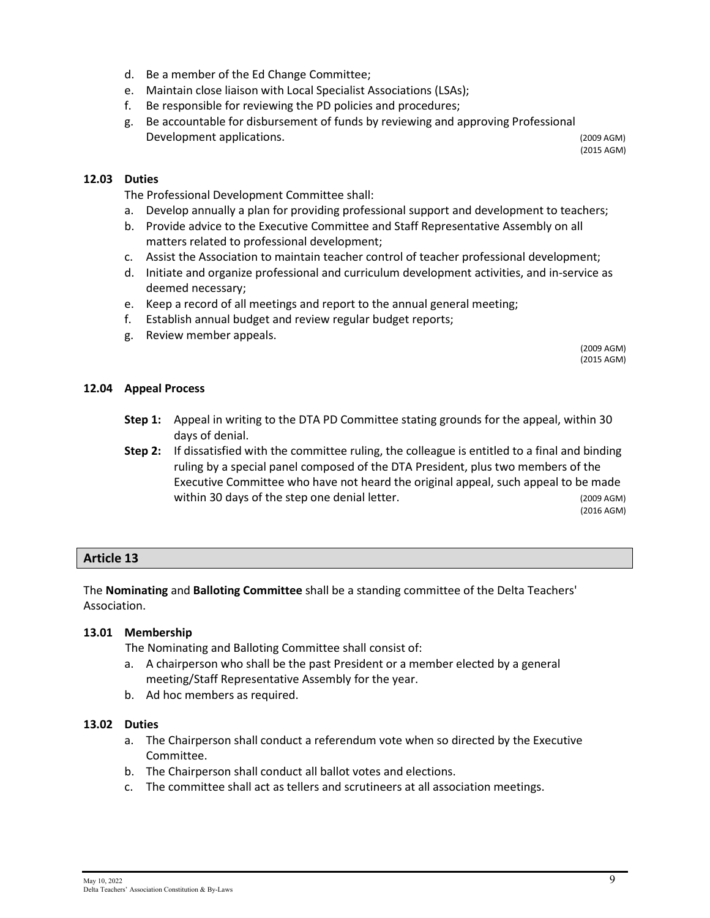- d. Be a member of the Ed Change Committee;
- e. Maintain close liaison with Local Specialist Associations (LSAs);
- f. Be responsible for reviewing the PD policies and procedures;
- g. Be accountable for disbursement of funds by reviewing and approving Professional Development applications. The contractions of the contractions of the contractions of the contractions of the contractions of the contractions of the contractions of the contractions of the contractions of the contractions

(2015 AGM)

#### **12.03 Duties**

The Professional Development Committee shall:

- a. Develop annually a plan for providing professional support and development to teachers;
- b. Provide advice to the Executive Committee and Staff Representative Assembly on all matters related to professional development;
- c. Assist the Association to maintain teacher control of teacher professional development;
- d. Initiate and organize professional and curriculum development activities, and in-service as deemed necessary;
- e. Keep a record of all meetings and report to the annual general meeting;
- f. Establish annual budget and review regular budget reports;
- g. Review member appeals.

(2009 AGM) (2015 AGM)

#### **12.04 Appeal Process**

- **Step 1:** Appeal in writing to the DTA PD Committee stating grounds for the appeal, within 30 days of denial.
- **Step 2:** If dissatisfied with the committee ruling, the colleague is entitled to a final and binding ruling by a special panel composed of the DTA President, plus two members of the Executive Committee who have not heard the original appeal, such appeal to be made within 30 days of the step one denial letter. (2009 AGM)

(2016 AGM)

#### **Article 13**

The **Nominating** and **Balloting Committee** shall be a standing committee of the Delta Teachers' Association.

#### **13.01 Membership**

The Nominating and Balloting Committee shall consist of:

- a. A chairperson who shall be the past President or a member elected by a general meeting/Staff Representative Assembly for the year.
- b. Ad hoc members as required.

#### **13.02 Duties**

- a. The Chairperson shall conduct a referendum vote when so directed by the Executive Committee.
- b. The Chairperson shall conduct all ballot votes and elections.
- c. The committee shall act as tellers and scrutineers at all association meetings.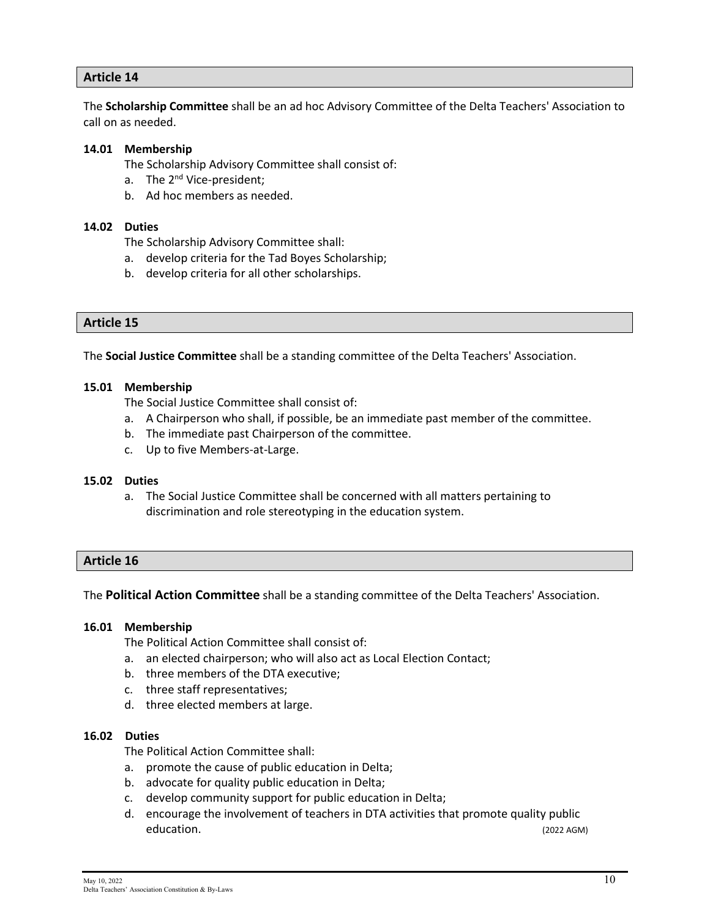The **Scholarship Committee** shall be an ad hoc Advisory Committee of the Delta Teachers' Association to call on as needed.

#### **14.01 Membership**

The Scholarship Advisory Committee shall consist of:

- a. The 2<sup>nd</sup> Vice-president;
- b. Ad hoc members as needed.

#### **14.02 Duties**

The Scholarship Advisory Committee shall:

- a. develop criteria for the Tad Boyes Scholarship;
- b. develop criteria for all other scholarships.

#### **Article 15**

The **Social Justice Committee** shall be a standing committee of the Delta Teachers' Association.

#### **15.01 Membership**

The Social Justice Committee shall consist of:

- a. A Chairperson who shall, if possible, be an immediate past member of the committee.
- b. The immediate past Chairperson of the committee.
- c. Up to five Members-at-Large.

#### **15.02 Duties**

a. The Social Justice Committee shall be concerned with all matters pertaining to discrimination and role stereotyping in the education system.

#### **Article 16**

The **Political Action Committee** shall be a standing committee of the Delta Teachers' Association.

#### **16.01 Membership**

The Political Action Committee shall consist of:

- a. an elected chairperson; who will also act as Local Election Contact;
- b. three members of the DTA executive;
- c. three staff representatives;
- d. three elected members at large.

#### **16.02 Duties**

The Political Action Committee shall:

- a. promote the cause of public education in Delta;
- b. advocate for quality public education in Delta;
- c. develop community support for public education in Delta;
- d. encourage the involvement of teachers in DTA activities that promote quality public education. (2022 AGM)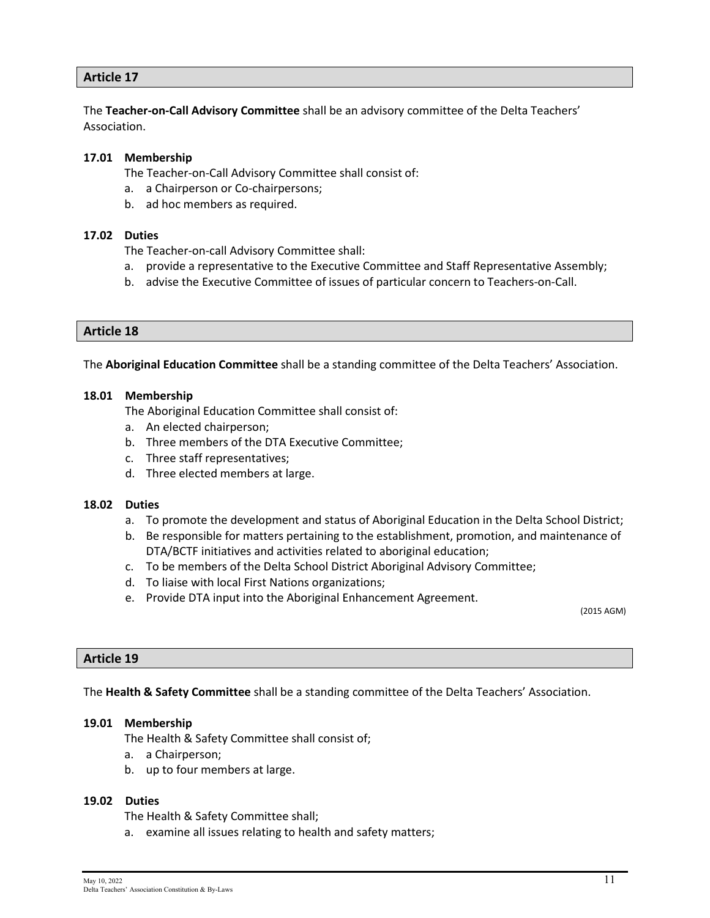The **Teacher-on-Call Advisory Committee** shall be an advisory committee of the Delta Teachers' Association.

#### **17.01 Membership**

The Teacher-on-Call Advisory Committee shall consist of:

- a. a Chairperson or Co-chairpersons;
- b. ad hoc members as required.

#### **17.02 Duties**

The Teacher-on-call Advisory Committee shall:

- a. provide a representative to the Executive Committee and Staff Representative Assembly;
- b. advise the Executive Committee of issues of particular concern to Teachers-on-Call.

#### **Article 18**

The **Aboriginal Education Committee** shall be a standing committee of the Delta Teachers' Association.

#### **18.01 Membership**

The Aboriginal Education Committee shall consist of:

- a. An elected chairperson;
- b. Three members of the DTA Executive Committee;
- c. Three staff representatives;
- d. Three elected members at large.

#### **18.02 Duties**

- a. To promote the development and status of Aboriginal Education in the Delta School District;
- b. Be responsible for matters pertaining to the establishment, promotion, and maintenance of DTA/BCTF initiatives and activities related to aboriginal education;
- c. To be members of the Delta School District Aboriginal Advisory Committee;
- d. To liaise with local First Nations organizations;
- e. Provide DTA input into the Aboriginal Enhancement Agreement.

(2015 AGM)

#### **Article 19**

The **Health & Safety Committee** shall be a standing committee of the Delta Teachers' Association.

#### **19.01 Membership**

The Health & Safety Committee shall consist of;

- a. a Chairperson;
- b. up to four members at large.

#### **19.02 Duties**

The Health & Safety Committee shall;

a. examine all issues relating to health and safety matters;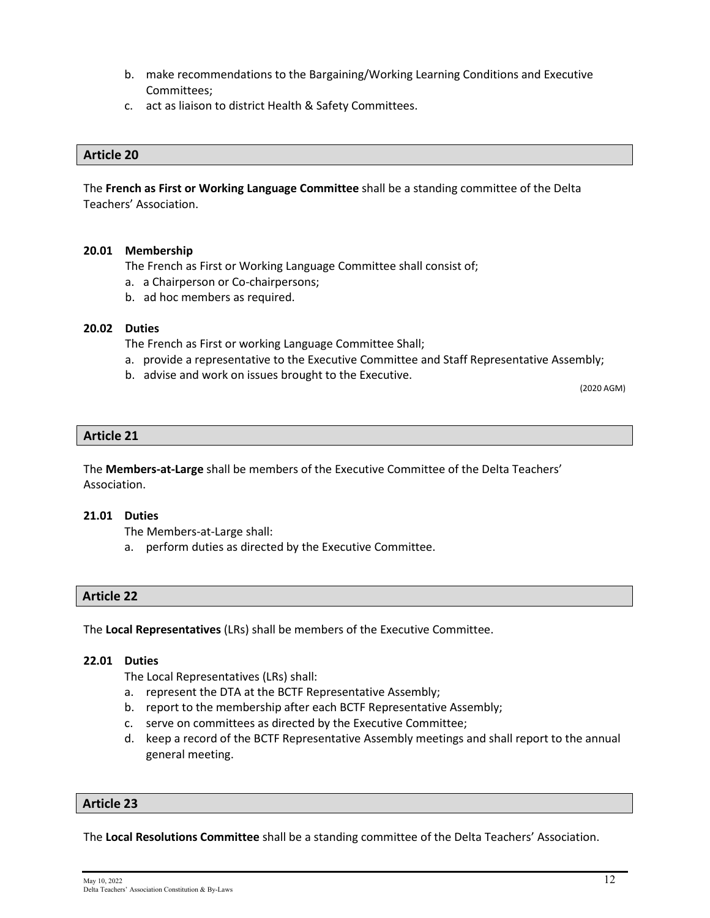- b. make recommendations to the Bargaining/Working Learning Conditions and Executive Committees;
- c. act as liaison to district Health & Safety Committees.

The **French as First or Working Language Committee** shall be a standing committee of the Delta Teachers' Association.

#### **20.01 Membership**

The French as First or Working Language Committee shall consist of;

- a. a Chairperson or Co-chairpersons;
- b. ad hoc members as required.

#### **20.02 Duties**

The French as First or working Language Committee Shall;

- a. provide a representative to the Executive Committee and Staff Representative Assembly;
- b. advise and work on issues brought to the Executive.<br>(2020 AGM)

#### **Article 21**

The **Members-at-Large** shall be members of the Executive Committee of the Delta Teachers' Association.

#### **21.01 Duties**

The Members-at-Large shall:

a. perform duties as directed by the Executive Committee.

#### **Article 22**

The **Local Representatives** (LRs) shall be members of the Executive Committee.

#### **22.01 Duties**

The Local Representatives (LRs) shall:

- a. represent the DTA at the BCTF Representative Assembly;
- b. report to the membership after each BCTF Representative Assembly;
- c. serve on committees as directed by the Executive Committee;
- d. keep a record of the BCTF Representative Assembly meetings and shall report to the annual general meeting.

#### **Article 23**

The **Local Resolutions Committee** shall be a standing committee of the Delta Teachers' Association.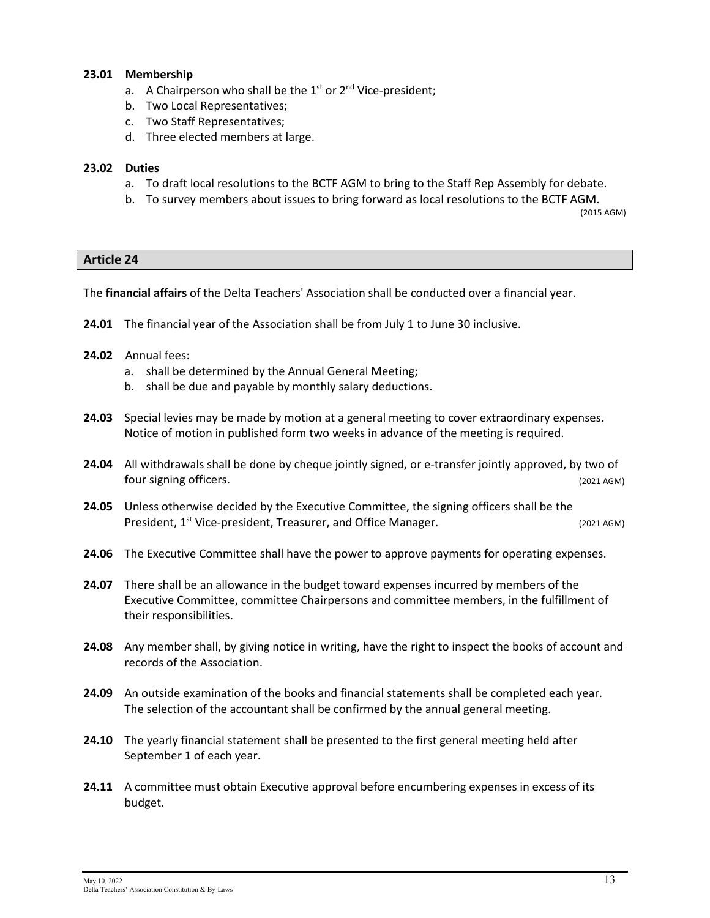#### **23.01 Membership**

- a. A Chairperson who shall be the  $1<sup>st</sup>$  or  $2<sup>nd</sup>$  Vice-president;
- b. Two Local Representatives;
- c. Two Staff Representatives;
- d. Three elected members at large.

#### **23.02 Duties**

- a. To draft local resolutions to the BCTF AGM to bring to the Staff Rep Assembly for debate.
- b. To survey members about issues to bring forward as local resolutions to the BCTF AGM.

(2015 AGM)

#### **Article 24**

The **financial affairs** of the Delta Teachers' Association shall be conducted over a financial year.

- **24.01** The financial year of the Association shall be from July 1 to June 30 inclusive.
- **24.02** Annual fees:
	- a. shall be determined by the Annual General Meeting;
	- b. shall be due and payable by monthly salary deductions.
- **24.03** Special levies may be made by motion at a general meeting to cover extraordinary expenses. Notice of motion in published form two weeks in advance of the meeting is required.
- **24.04** All withdrawals shall be done by cheque jointly signed, or e-transfer jointly approved, by two of four signing officers. (2021 AGM)
- **24.05** Unless otherwise decided by the Executive Committee, the signing officers shall be the President, 1<sup>st</sup> Vice-president, Treasurer, and Office Manager. (2021 AGM) (2021 AGM)
- **24.06** The Executive Committee shall have the power to approve payments for operating expenses.
- **24.07** There shall be an allowance in the budget toward expenses incurred by members of the Executive Committee, committee Chairpersons and committee members, in the fulfillment of their responsibilities.
- **24.08** Any member shall, by giving notice in writing, have the right to inspect the books of account and records of the Association.
- **24.09** An outside examination of the books and financial statements shall be completed each year. The selection of the accountant shall be confirmed by the annual general meeting.
- **24.10** The yearly financial statement shall be presented to the first general meeting held after September 1 of each year.
- **24.11** A committee must obtain Executive approval before encumbering expenses in excess of its budget.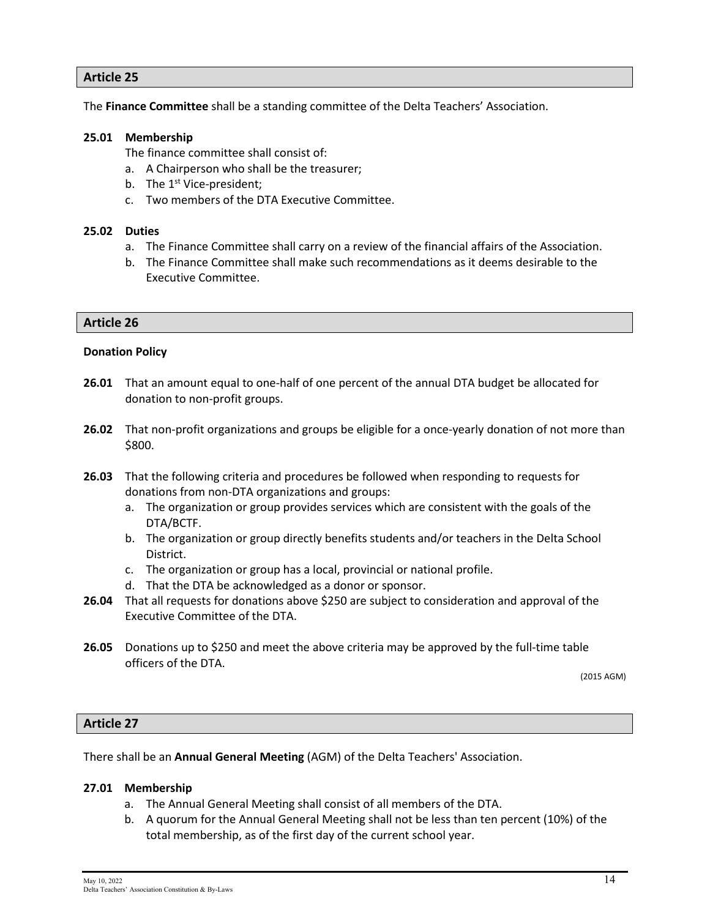The **Finance Committee** shall be a standing committee of the Delta Teachers' Association.

#### **25.01 Membership**

The finance committee shall consist of:

- a. A Chairperson who shall be the treasurer;
- b. The  $1<sup>st</sup>$  Vice-president;
- c. Two members of the DTA Executive Committee.

#### **25.02 Duties**

- a. The Finance Committee shall carry on a review of the financial affairs of the Association.
- b. The Finance Committee shall make such recommendations as it deems desirable to the Executive Committee.

#### **Article 26**

#### **Donation Policy**

- **26.01** That an amount equal to one-half of one percent of the annual DTA budget be allocated for donation to non-profit groups.
- **26.02** That non-profit organizations and groups be eligible for a once-yearly donation of not more than \$800.
- **26.03** That the following criteria and procedures be followed when responding to requests for donations from non-DTA organizations and groups:
	- a. The organization or group provides services which are consistent with the goals of the DTA/BCTF.
	- b. The organization or group directly benefits students and/or teachers in the Delta School District.
	- c. The organization or group has a local, provincial or national profile.
	- d. That the DTA be acknowledged as a donor or sponsor.
- **26.04** That all requests for donations above \$250 are subject to consideration and approval of the Executive Committee of the DTA.
- **26.05** Donations up to \$250 and meet the above criteria may be approved by the full-time table officers of the DTA.

(2015 AGM)

#### **Article 27**

There shall be an **Annual General Meeting** (AGM) of the Delta Teachers' Association.

#### **27.01 Membership**

- a. The Annual General Meeting shall consist of all members of the DTA.
- b. A quorum for the Annual General Meeting shall not be less than ten percent (10%) of the total membership, as of the first day of the current school year.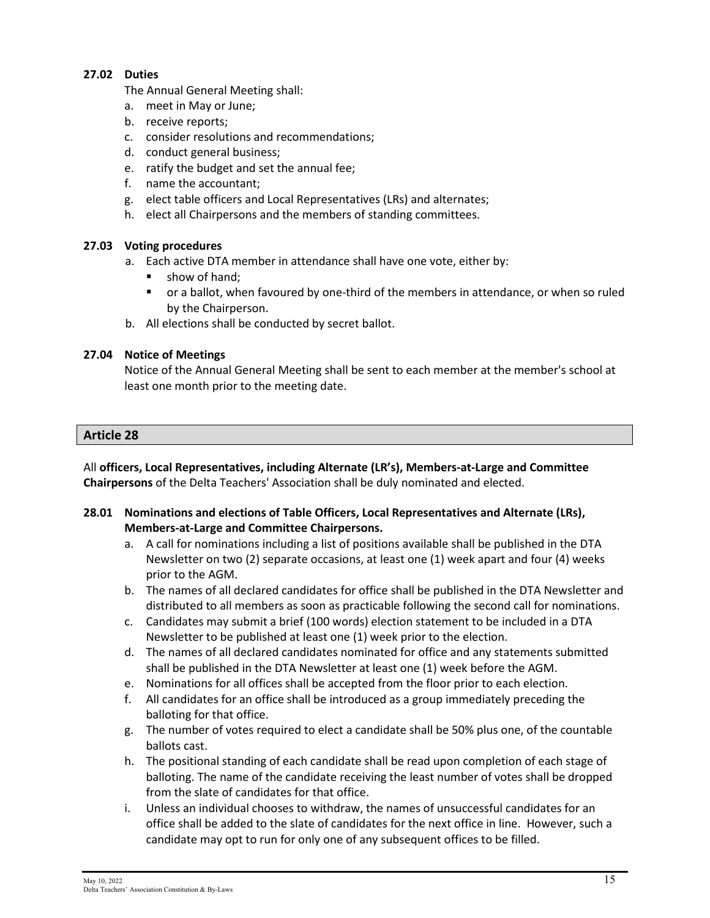#### **27.02 Duties**

The Annual General Meeting shall:

- a. meet in May or June;
- b. receive reports;
- c. consider resolutions and recommendations;
- d. conduct general business;
- e. ratify the budget and set the annual fee;
- f. name the accountant;
- g. elect table officers and Local Representatives (LRs) and alternates;
- h. elect all Chairpersons and the members of standing committees.

#### **27.03 Voting procedures**

- a. Each active DTA member in attendance shall have one vote, either by:
	- **show of hand;**
	- or a ballot, when favoured by one-third of the members in attendance, or when so ruled by the Chairperson.
- b. All elections shall be conducted by secret ballot.

#### **27.04 Notice of Meetings**

Notice of the Annual General Meeting shall be sent to each member at the member's school at least one month prior to the meeting date.

#### **Article 28**

All **officers, Local Representatives, including Alternate (LR's), Members-at-Large and Committee Chairpersons** of the Delta Teachers' Association shall be duly nominated and elected.

- **28.01 Nominations and elections of Table Officers, Local Representatives and Alternate (LRs), Members-at-Large and Committee Chairpersons.**
	- a. A call for nominations including a list of positions available shall be published in the DTA Newsletter on two (2) separate occasions, at least one (1) week apart and four (4) weeks prior to the AGM.
	- b. The names of all declared candidates for office shall be published in the DTA Newsletter and distributed to all members as soon as practicable following the second call for nominations.
	- c. Candidates may submit a brief (100 words) election statement to be included in a DTA Newsletter to be published at least one (1) week prior to the election.
	- d. The names of all declared candidates nominated for office and any statements submitted shall be published in the DTA Newsletter at least one (1) week before the AGM.
	- e. Nominations for all offices shall be accepted from the floor prior to each election.
	- f. All candidates for an office shall be introduced as a group immediately preceding the balloting for that office.
	- g. The number of votes required to elect a candidate shall be 50% plus one, of the countable ballots cast.
	- h. The positional standing of each candidate shall be read upon completion of each stage of balloting. The name of the candidate receiving the least number of votes shall be dropped from the slate of candidates for that office.
	- i. Unless an individual chooses to withdraw, the names of unsuccessful candidates for an office shall be added to the slate of candidates for the next office in line. However, such a candidate may opt to run for only one of any subsequent offices to be filled.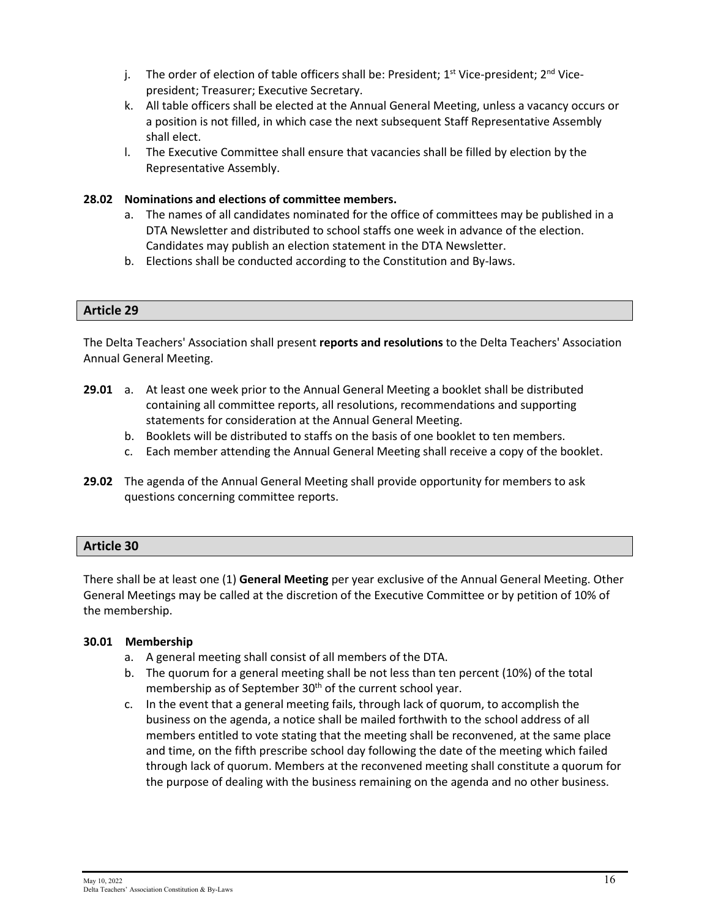- j. The order of election of table officers shall be: President;  $1^{st}$  Vice-president;  $2^{nd}$  Vicepresident; Treasurer; Executive Secretary.
- k. All table officers shall be elected at the Annual General Meeting, unless a vacancy occurs or a position is not filled, in which case the next subsequent Staff Representative Assembly shall elect.
- l. The Executive Committee shall ensure that vacancies shall be filled by election by the Representative Assembly.

#### **28.02 Nominations and elections of committee members.**

- a. The names of all candidates nominated for the office of committees may be published in a DTA Newsletter and distributed to school staffs one week in advance of the election. Candidates may publish an election statement in the DTA Newsletter.
- b. Elections shall be conducted according to the Constitution and By-laws.

#### **Article 29**

The Delta Teachers' Association shall present **reports and resolutions** to the Delta Teachers' Association Annual General Meeting.

- **29.01** a. At least one week prior to the Annual General Meeting a booklet shall be distributed containing all committee reports, all resolutions, recommendations and supporting statements for consideration at the Annual General Meeting.
	- b. Booklets will be distributed to staffs on the basis of one booklet to ten members.
	- c. Each member attending the Annual General Meeting shall receive a copy of the booklet.
- **29.02** The agenda of the Annual General Meeting shall provide opportunity for members to ask questions concerning committee reports.

#### **Article 30**

There shall be at least one (1) **General Meeting** per year exclusive of the Annual General Meeting. Other General Meetings may be called at the discretion of the Executive Committee or by petition of 10% of the membership.

#### **30.01 Membership**

- a. A general meeting shall consist of all members of the DTA.
- b. The quorum for a general meeting shall be not less than ten percent (10%) of the total membership as of September 30<sup>th</sup> of the current school year.
- c. In the event that a general meeting fails, through lack of quorum, to accomplish the business on the agenda, a notice shall be mailed forthwith to the school address of all members entitled to vote stating that the meeting shall be reconvened, at the same place and time, on the fifth prescribe school day following the date of the meeting which failed through lack of quorum. Members at the reconvened meeting shall constitute a quorum for the purpose of dealing with the business remaining on the agenda and no other business.